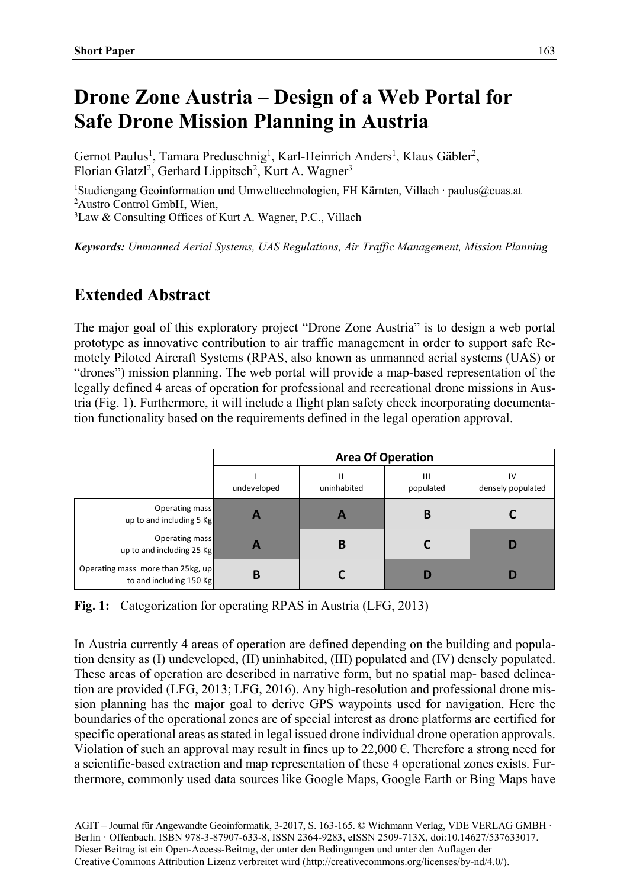## **Drone Zone Austria ‒ Design of a Web Portal for Safe Drone Mission Planning in Austria**

Gernot Paulus<sup>1</sup>, Tamara Preduschnig<sup>1</sup>, Karl-Heinrich Anders<sup>1</sup>, Klaus Gäbler<sup>2</sup>, Florian Glatzl<sup>2</sup>, Gerhard Lippitsch<sup>2</sup>, Kurt A. Wagner<sup>3</sup>

1Studiengang Geoinformation und Umwelttechnologien, FH Kärnten, Villach · paulus@cuas.at 2Austro Control GmbH, Wien,

3Law & Consulting Offices of Kurt A. Wagner, P.C., Villach

*Keywords: Unmanned Aerial Systems, UAS Regulations, Air Traffic Management, Mission Planning* 

## **Extended Abstract**

The major goal of this exploratory project "Drone Zone Austria" is to design a web portal prototype as innovative contribution to air traffic management in order to support safe Remotely Piloted Aircraft Systems (RPAS, also known as unmanned aerial systems (UAS) or "drones") mission planning. The web portal will provide a map-based representation of the legally defined 4 areas of operation for professional and recreational drone missions in Austria (Fig. 1). Furthermore, it will include a flight plan safety check incorporating documentation functionality based on the requirements defined in the legal operation approval.

|                                                              | <b>Area Of Operation</b> |                  |                           |                         |
|--------------------------------------------------------------|--------------------------|------------------|---------------------------|-------------------------|
|                                                              | undeveloped              | Н<br>uninhabited | $\mathbf{H}$<br>populated | IV<br>densely populated |
| Operating mass<br>up to and including 5 Kg                   | A                        |                  | В                         |                         |
| Operating mass<br>up to and including 25 Kg                  | A                        | в                |                           |                         |
| Operating mass more than 25kg, up<br>to and including 150 Kg | B                        |                  |                           |                         |

**Fig. 1:** Categorization for operating RPAS in Austria (LFG, 2013)

In Austria currently 4 areas of operation are defined depending on the building and population density as (I) undeveloped, (II) uninhabited, (III) populated and (IV) densely populated. These areas of operation are described in narrative form, but no spatial map- based delineation are provided (LFG, 2013; LFG, 2016). Any high-resolution and professional drone mission planning has the major goal to derive GPS waypoints used for navigation. Here the boundaries of the operational zones are of special interest as drone platforms are certified for specific operational areas as stated in legal issued drone individual drone operation approvals. Violation of such an approval may result in fines up to  $22,000 \text{ }\epsilon$ . Therefore a strong need for a scientific-based extraction and map representation of these 4 operational zones exists. Furthermore, commonly used data sources like Google Maps, Google Earth or Bing Maps have

AGIT – Journal für Angewandte Geoinformatik, 3-2017, S. 163-165. © Wichmann Verlag, VDE VERLAG GMBH · Berlin · Offenbach. ISBN 978-3-87907-633-8, ISSN 2364-9283, eISSN 2509-713X, doi:10.14627/537633017. Dieser Beitrag ist ein Open-Access-Beitrag, der unter den Bedingungen und unter den Auflagen der Creative Commons Attribution Lizenz verbreitet wird (http://creativecommons.org/licenses/by-nd/4.0/).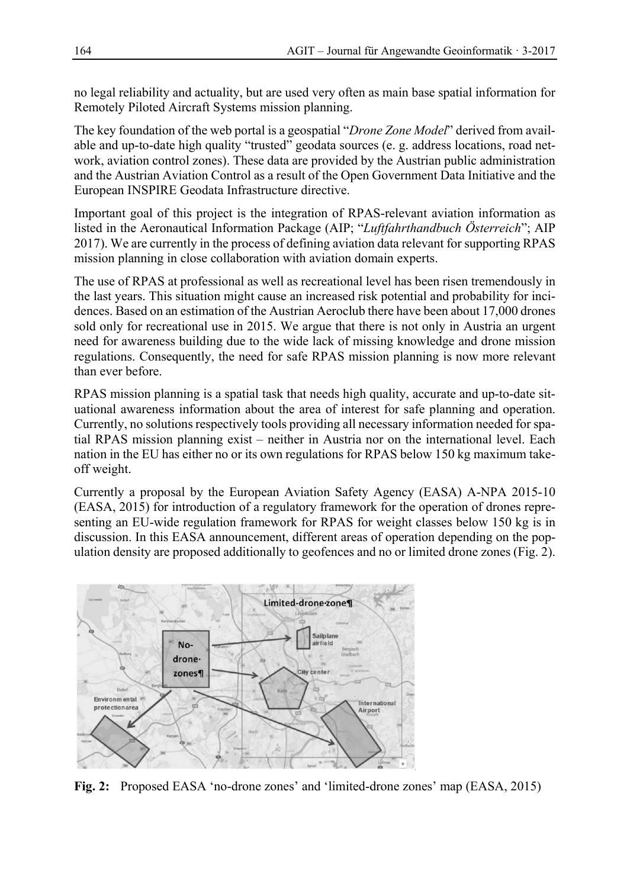no legal reliability and actuality, but are used very often as main base spatial information for Remotely Piloted Aircraft Systems mission planning.

The key foundation of the web portal is a geospatial "*Drone Zone Model*" derived from available and up-to-date high quality "trusted" geodata sources (e. g. address locations, road network, aviation control zones). These data are provided by the Austrian public administration and the Austrian Aviation Control as a result of the Open Government Data Initiative and the European INSPIRE Geodata Infrastructure directive.

Important goal of this project is the integration of RPAS-relevant aviation information as listed in the Aeronautical Information Package (AIP; "*Luftfahrthandbuch Österreich*"; AIP 2017). We are currently in the process of defining aviation data relevant for supporting RPAS mission planning in close collaboration with aviation domain experts.

The use of RPAS at professional as well as recreational level has been risen tremendously in the last years. This situation might cause an increased risk potential and probability for incidences. Based on an estimation of the Austrian Aeroclub there have been about 17,000 drones sold only for recreational use in 2015. We argue that there is not only in Austria an urgent need for awareness building due to the wide lack of missing knowledge and drone mission regulations. Consequently, the need for safe RPAS mission planning is now more relevant than ever before.

RPAS mission planning is a spatial task that needs high quality, accurate and up-to-date situational awareness information about the area of interest for safe planning and operation. Currently, no solutions respectively tools providing all necessary information needed for spatial RPAS mission planning exist – neither in Austria nor on the international level. Each nation in the EU has either no or its own regulations for RPAS below 150 kg maximum takeoff weight.

Currently a proposal by the European Aviation Safety Agency (EASA) A-NPA 2015-10 (EASA, 2015) for introduction of a regulatory framework for the operation of drones representing an EU-wide regulation framework for RPAS for weight classes below 150 kg is in discussion. In this EASA announcement, different areas of operation depending on the population density are proposed additionally to geofences and no or limited drone zones (Fig. 2).



**Fig. 2:** Proposed EASA 'no-drone zones' and 'limited-drone zones' map (EASA, 2015)